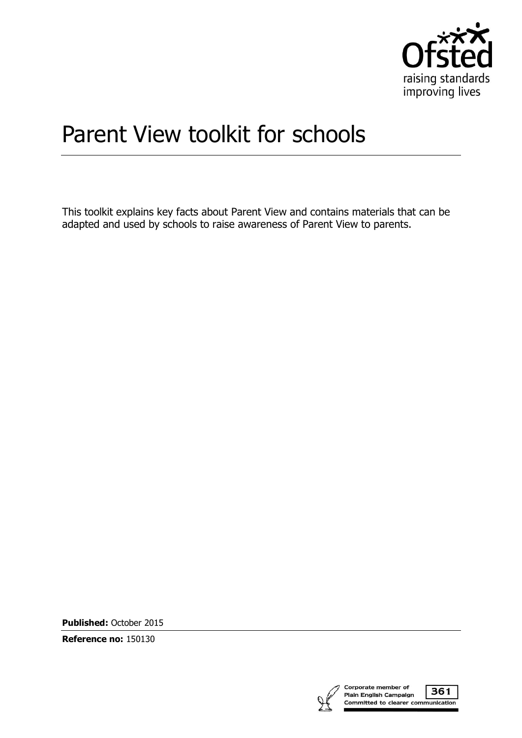

# Parent View toolkit for schools

This toolkit explains key facts about Parent View and contains materials that can be adapted and used by schools to raise awareness of Parent View to parents.

**Published:** October 2015

**Reference no:** 150130

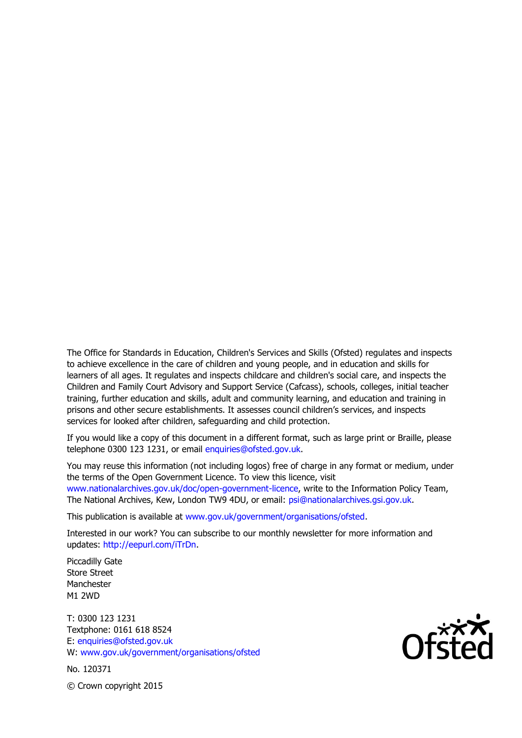The Office for Standards in Education, Children's Services and Skills (Ofsted) regulates and inspects to achieve excellence in the care of children and young people, and in education and skills for learners of all ages. It regulates and inspects childcare and children's social care, and inspects the Children and Family Court Advisory and Support Service (Cafcass), schools, colleges, initial teacher training, further education and skills, adult and community learning, and education and training in prisons and other secure establishments. It assesses council children's services, and inspects services for looked after children, safeguarding and child protection.

If you would like a copy of this document in a different format, such as large print or Braille, please telephone 0300 123 1231, or email enquiries@ofsted.gov.uk.

You may reuse this information (not including logos) free of charge in any format or medium, under the terms of the Open Government Licence. To view this licence, visit www.nationalarchives.gov.uk/doc/open-government-licence, write to the Information Policy Team, The National Archives, Kew, London TW9 4DU, or email: psi@nationalarchives.gsi.gov.uk.

This publication is available at www.gov.uk/government/organisations/ofsted.

Interested in our work? You can subscribe to our monthly newsletter for more information and updates: http://eepurl.com/iTrDn.

Piccadilly Gate Store Street Manchester M1 2WD

T: 0300 123 1231 Textphone: 0161 618 8524 E: enquiries@ofsted.gov.uk W: www.gov.uk/government/organisations/ofsted

No. 120371

© Crown copyright 2015

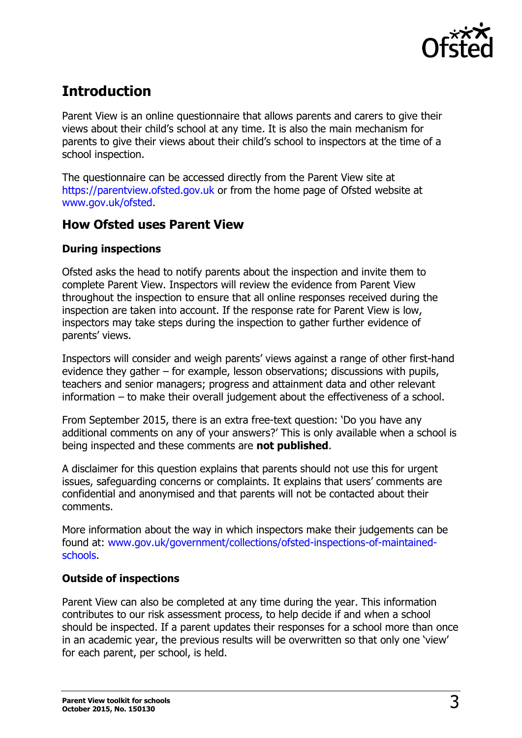

## **Introduction**

Parent View is an online questionnaire that allows parents and carers to give their views about their child's school at any time. It is also the main mechanism for parents to give their views about their child's school to inspectors at the time of a school inspection.

The questionnaire can be accessed directly from the Parent View site at https://parentyjew.ofsted.gov.uk or from the home page of Ofsted website at [www.gov.uk/ofsted.](http://www.gov.uk/ofsted)

## **How Ofsted uses Parent View**

### **During inspections**

Ofsted asks the head to notify parents about the inspection and invite them to complete Parent View. Inspectors will review the evidence from Parent View throughout the inspection to ensure that all online responses received during the inspection are taken into account. If the response rate for Parent View is low, inspectors may take steps during the inspection to gather further evidence of parents' views.

Inspectors will consider and weigh parents' views against a range of other first-hand evidence they gather – for example, lesson observations; discussions with pupils, teachers and senior managers; progress and attainment data and other relevant information – to make their overall judgement about the effectiveness of a school.

From September 2015, there is an extra free-text question: 'Do you have any additional comments on any of your answers?' This is only available when a school is being inspected and these comments are **not published**.

A disclaimer for this question explains that parents should not use this for urgent issues, safeguarding concerns or complaints. It explains that users' comments are confidential and anonymised and that parents will not be contacted about their comments.

More information about the way in which inspectors make their judgements can be found at: [www.gov.uk/government/collections/ofsted-inspections-of-maintained](http://www.gov.uk/government/collections/ofsted-inspections-of-maintained-schools)[schools.](http://www.gov.uk/government/collections/ofsted-inspections-of-maintained-schools)

### **Outside of inspections**

Parent View can also be completed at any time during the year. This information contributes to our risk assessment process, to help decide if and when a school should be inspected. If a parent updates their responses for a school more than once in an academic year, the previous results will be overwritten so that only one 'view' for each parent, per school, is held.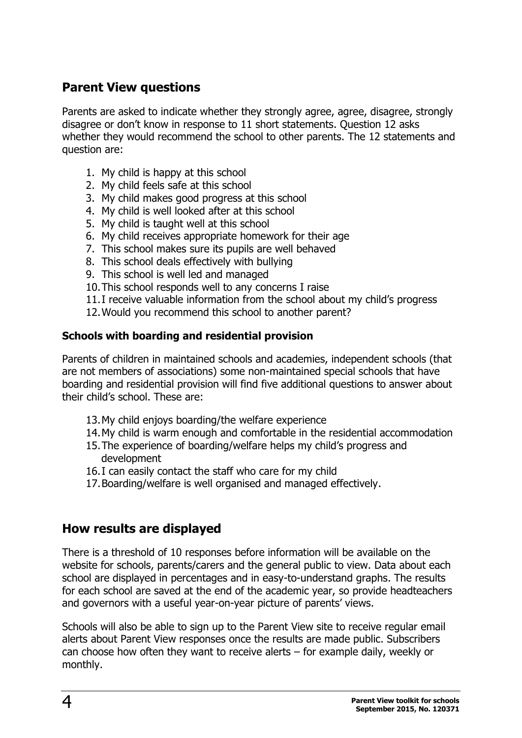## **Parent View questions**

Parents are asked to indicate whether they strongly agree, agree, disagree, strongly disagree or don't know in response to 11 short statements. Question 12 asks whether they would recommend the school to other parents. The 12 statements and question are:

- 1. My child is happy at this school
- 2. My child feels safe at this school
- 3. My child makes good progress at this school
- 4. My child is well looked after at this school
- 5. My child is taught well at this school
- 6. My child receives appropriate homework for their age
- 7. This school makes sure its pupils are well behaved
- 8. This school deals effectively with bullying
- 9. This school is well led and managed
- 10.This school responds well to any concerns I raise
- 11.I receive valuable information from the school about my child's progress
- 12.Would you recommend this school to another parent?

### **Schools with boarding and residential provision**

Parents of children in maintained schools and academies, independent schools (that are not members of associations) some non-maintained special schools that have boarding and residential provision will find five additional questions to answer about their child's school. These are:

- 13.My child enjoys boarding/the welfare experience
- 14.My child is warm enough and comfortable in the residential accommodation
- 15.The experience of boarding/welfare helps my child's progress and development
- 16.I can easily contact the staff who care for my child
- 17.Boarding/welfare is well organised and managed effectively.

## **How results are displayed**

There is a threshold of 10 responses before information will be available on the website for schools, parents/carers and the general public to view. Data about each school are displayed in percentages and in easy-to-understand graphs. The results for each school are saved at the end of the academic year, so provide headteachers and governors with a useful year-on-year picture of parents' views.

Schools will also be able to sign up to the Parent View site to receive regular email alerts about Parent View responses once the results are made public. Subscribers can choose how often they want to receive alerts – for example daily, weekly or monthly.